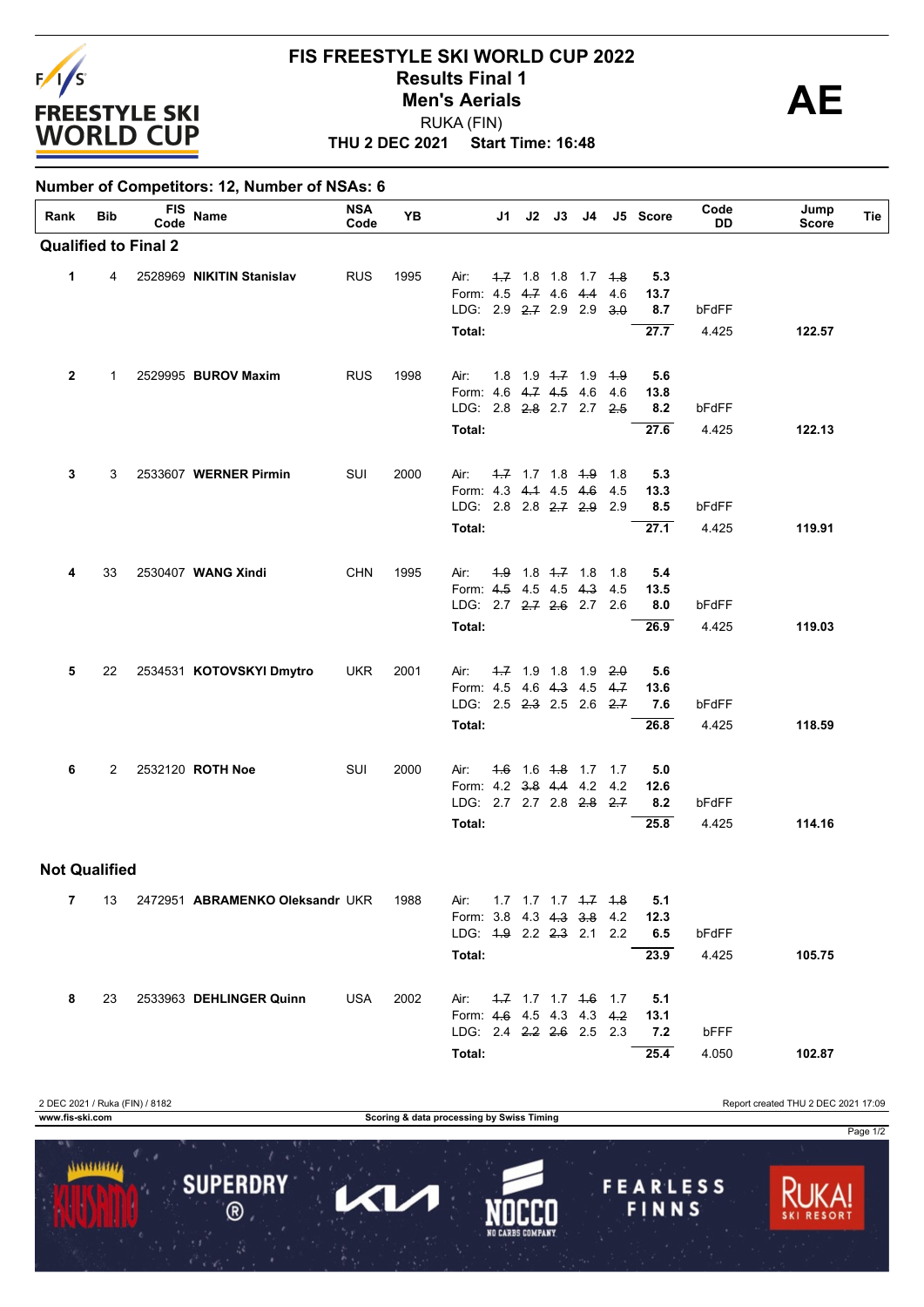

**Number of Competitors: 12, Number of NSAs: 6**

## **THU 2 DEC 2021 Start Time: 16:48 FIS FREESTYLE SKI WORLD CUP 2022 Results Final 1**<br> **Men's Aerials**<br> **AE** RUKA (FIN) **Men's Aerials**

| Rank                 | Bib            | <b>FIS</b><br>Code          | Name                            | <b>NSA</b><br>Code | YB   |                                                   | J1 | J2 J3 J4            |                                     |     | J5 Score    | Code<br>DD | Jump<br><b>Score</b> | Tie |
|----------------------|----------------|-----------------------------|---------------------------------|--------------------|------|---------------------------------------------------|----|---------------------|-------------------------------------|-----|-------------|------------|----------------------|-----|
|                      |                | <b>Qualified to Final 2</b> |                                 |                    |      |                                                   |    |                     |                                     |     |             |            |                      |     |
| $\mathbf{1}$         | 4              |                             | 2528969 NIKITIN Stanislav       | <b>RUS</b>         | 1995 | Air:                                              |    |                     | 4.7 1.8 1.8 1.7 4.8                 |     | 5.3         |            |                      |     |
|                      |                |                             |                                 |                    |      | Form: 4.5 4.7 4.6 4.4                             |    |                     |                                     | 4.6 | 13.7        |            |                      |     |
|                      |                |                             |                                 |                    |      | LDG: $2.9$ $2.7$ $2.9$ $2.9$                      |    |                     |                                     | 3.0 | 8.7         | bFdFF      |                      |     |
|                      |                |                             |                                 |                    |      | Total:                                            |    |                     |                                     |     | 27.7        | 4.425      | 122.57               |     |
|                      |                |                             |                                 |                    |      |                                                   |    |                     |                                     |     |             |            |                      |     |
| 2                    | 1              |                             | 2529995 BUROV Maxim             | <b>RUS</b>         | 1998 | Air:                                              |    |                     | 1.8 1.9 <del>1.7</del> 1.9 1.9      |     | 5.6         |            |                      |     |
|                      |                |                             |                                 |                    |      | Form: 4.6 4.7 4.5 4.6 4.6                         |    |                     |                                     |     | 13.8        |            |                      |     |
|                      |                |                             |                                 |                    |      | LDG: 2.8 2.8 2.7 2.7 2.5                          |    |                     |                                     |     | 8.2         | bFdFF      |                      |     |
|                      |                |                             |                                 |                    |      | Total:                                            |    |                     |                                     |     | 27.6        | 4.425      | 122.13               |     |
|                      |                |                             |                                 |                    |      |                                                   |    |                     |                                     |     |             |            |                      |     |
| 3                    | 3              |                             | 2533607 WERNER Pirmin           | SUI                | 2000 | Air:                                              |    | $-4.7$ 1.7 1.8 $+9$ |                                     | 1.8 | 5.3         |            |                      |     |
|                      |                |                             |                                 |                    |      | Form: 4.3 4.4 4.5 4.6                             |    |                     |                                     | 4.5 | 13.3        |            |                      |     |
|                      |                |                             |                                 |                    |      | LDG: 2.8 2.8 2.7 2.9 2.9                          |    |                     |                                     |     | 8.5         | bFdFF      |                      |     |
|                      |                |                             |                                 |                    |      | Total:                                            |    |                     |                                     |     | 27.1        | 4.425      | 119.91               |     |
|                      |                |                             |                                 |                    |      |                                                   |    |                     |                                     |     |             |            |                      |     |
| 4                    | 33             |                             | 2530407 WANG Xindi              | <b>CHN</b>         | 1995 | Air:                                              |    |                     | 4.9 1.8 4.7 1.8 1.8                 |     | 5.4         |            |                      |     |
|                      |                |                             |                                 |                    |      | Form: 4.5 4.5 4.5 4.3<br>LDG: 2.7 2.7 2.6 2.7 2.6 |    |                     |                                     | 4.5 | 13.5<br>8.0 | bFdFF      |                      |     |
|                      |                |                             |                                 |                    |      | Total:                                            |    |                     |                                     |     | 26.9        | 4.425      | 119.03               |     |
|                      |                |                             |                                 |                    |      |                                                   |    |                     |                                     |     |             |            |                      |     |
| 5                    | 22             |                             | 2534531 KOTOVSKYI Dmytro        | <b>UKR</b>         | 2001 | Air:                                              |    |                     | $1.7$ 1.9 1.8 1.9 2.0               |     | 5.6         |            |                      |     |
|                      |                |                             |                                 |                    |      | Form: 4.5 4.6 4.3 4.5 4.7                         |    |                     |                                     |     | 13.6        |            |                      |     |
|                      |                |                             |                                 |                    |      | LDG: $2.5$ $2.3$ $2.5$ $2.6$ $2.7$                |    |                     |                                     |     | 7.6         | bFdFF      |                      |     |
|                      |                |                             |                                 |                    |      | Total:                                            |    |                     |                                     |     | 26.8        | 4.425      | 118.59               |     |
|                      |                |                             |                                 |                    |      |                                                   |    |                     |                                     |     |             |            |                      |     |
| 6                    | $\overline{2}$ |                             | 2532120 ROTH Noe                | SUI                | 2000 | Air:                                              |    |                     | 4.6 1.6 4.8 1.7 1.7                 |     | 5.0         |            |                      |     |
|                      |                |                             |                                 |                    |      | Form: 4.2 3.8 4.4 4.2                             |    |                     |                                     | 4.2 | 12.6        |            |                      |     |
|                      |                |                             |                                 |                    |      | LDG: 2.7 2.7 2.8 2.8 2.7                          |    |                     |                                     |     | 8.2         | bFdFF      |                      |     |
|                      |                |                             |                                 |                    |      | Total:                                            |    |                     |                                     |     | 25.8        | 4.425      | 114.16               |     |
| <b>Not Qualified</b> |                |                             |                                 |                    |      |                                                   |    |                     |                                     |     |             |            |                      |     |
|                      |                |                             |                                 |                    |      |                                                   |    |                     |                                     |     |             |            |                      |     |
| 7                    | 13             |                             | 2472951 ABRAMENKO Oleksandr UKR |                    | 1988 | Air:                                              |    |                     | $1.7$ $1.7$ $1.7$ $1.7$ $1.7$ $1.8$ |     | 5.1         |            |                      |     |
|                      |                |                             |                                 |                    |      | Form: 3.8 4.3 4.3 3.8 4.2                         |    |                     |                                     |     | 12.3        |            |                      |     |

**Total: 25.4** 4.050 **102.87** LDG: 2.4 2.2 2.6 2.5 2.3 **7.2** bFFF Form: 4.6 4.5 4.3 4.3 4.2 **13.1 8** 23 2533963 **DEHLINGER Quinn** USA 2002 Air: 1.7 1.7 1.7 1.6 1.7 **5.1** 2 DEC 2021 / Ruka (FIN) / 8182 Report created THU 2 DEC 2021 17:09 **www.fis-ski.com Scoring & data processing by Swiss Timing**



**Total: 23.9** 4.425 **105.75**

LDG: 1.9 2.2 2.3 2.1 2.2 **6.5** bFdFF